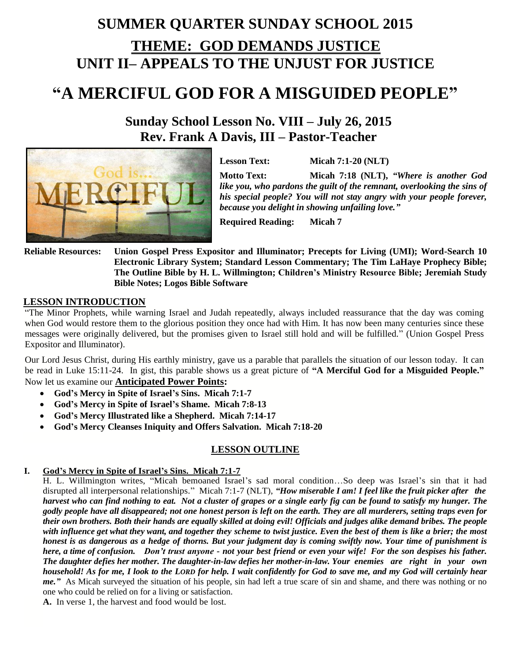# **SUMMER QUARTER SUNDAY SCHOOL 2015 THEME: GOD DEMANDS JUSTICE UNIT II– APPEALS TO THE UNJUST FOR JUSTICE**

# **"A MERCIFUL GOD FOR A MISGUIDED PEOPLE"**

## **Sunday School Lesson No. VIII – July 26, 2015 Rev. Frank A Davis, III – Pastor-Teacher**



**Lesson Text: Micah 7:1-20 (NLT)**

**Motto Text: Micah 7:18 (NLT),** *"Where is another God like you, who pardons the guilt of the remnant, overlooking the sins of his special people? You will not stay angry with your people forever, because you delight in showing unfailing love."*

**Required Reading: Micah 7**

**Reliable Resources: Union Gospel Press Expositor and Illuminator; Precepts for Living (UMI); Word-Search 10 Electronic Library System; Standard Lesson Commentary; The Tim LaHaye Prophecy Bible; The Outline Bible by H. L. Willmington; Children's Ministry Resource Bible; Jeremiah Study Bible Notes; Logos Bible Software**

### **LESSON INTRODUCTION**

"The Minor Prophets, while warning Israel and Judah repeatedly, always included reassurance that the day was coming when God would restore them to the glorious position they once had with Him. It has now been many centuries since these messages were originally delivered, but the promises given to Israel still hold and will be fulfilled." (Union Gospel Press Expositor and Illuminator).

Our Lord Jesus Christ, during His earthly ministry, gave us a parable that parallels the situation of our lesson today. It can be read in Luke 15:11-24. In gist, this parable shows us a great picture of **"A Merciful God for a Misguided People."** Now let us examine our **Anticipated Power Points:** 

- **God's Mercy in Spite of Israel's Sins. Micah 7:1-7**
- **God's Mercy in Spite of Israel's Shame. Micah 7:8-13**
- **God's Mercy Illustrated like a Shepherd. Micah 7:14-17**
- **God's Mercy Cleanses Iniquity and Offers Salvation. Micah 7:18-20**

### **LESSON OUTLINE**

#### **I. God's Mercy in Spite of Israel's Sins. Micah 7:1-7**

H. L. Willmington writes, "Micah bemoaned Israel's sad moral condition…So deep was Israel's sin that it had disrupted all interpersonal relationships." Micah 7:1-7 (NLT), *"How miserable I am! I feel like the fruit picker after the harvest who can find nothing to eat. Not a cluster of grapes or a single early fig can be found to satisfy my hunger. The godly people have all disappeared; not one honest person is left on the earth. They are all murderers, setting traps even for their own brothers. Both their hands are equally skilled at doing evil! Officials and judges alike demand bribes. The people with influence get what they want, and together they scheme to twist justice. Even the best of them is like a brier; the most honest is as dangerous as a hedge of thorns. But your judgment day is coming swiftly now. Your time of punishment is here, a time of confusion. Don't trust anyone - not your best friend or even your wife! For the son despises his father. The daughter defies her mother. The daughter-in-law defies her mother-in-law. Your enemies are right in your own household! As for me, I look to the LORD for help. I wait confidently for God to save me, and my God will certainly hear me."* As Micah surveyed the situation of his people, sin had left a true scare of sin and shame, and there was nothing or no one who could be relied on for a living or satisfaction.

**A.** In verse 1, the harvest and food would be lost.